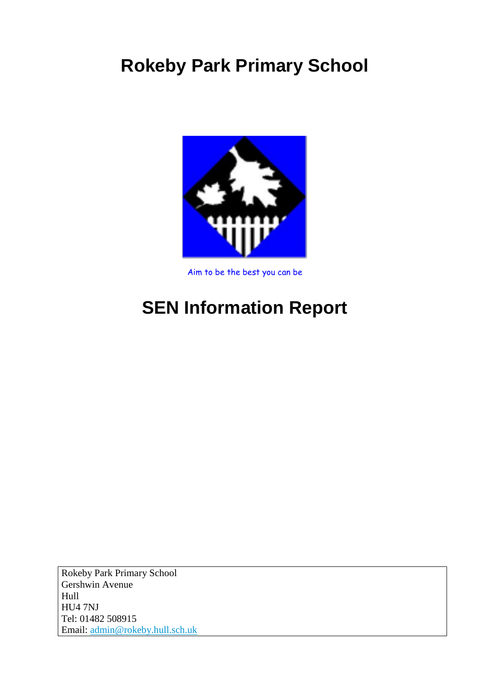# **Rokeby Park Primary School**



Aim to be the best you can be

# **SEN Information Report**

Rokeby Park Primary School Gershwin Avenue Hull HU4 7NJ Tel: 01482 508915 Email: [admin@rokeby.hull.sch.uk](mailto:admin@rokeby.hull.sch.uk)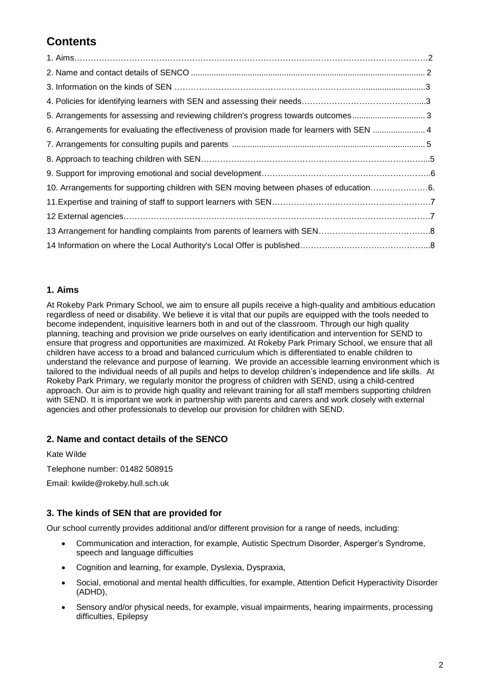# **Contents**

| 5. Arrangements for assessing and reviewing children's progress towards outcomes3      |  |
|----------------------------------------------------------------------------------------|--|
|                                                                                        |  |
|                                                                                        |  |
|                                                                                        |  |
|                                                                                        |  |
|                                                                                        |  |
| 10. Arrangements for supporting children with SEN moving between phases of education6. |  |
|                                                                                        |  |
|                                                                                        |  |
|                                                                                        |  |

# **1. Aims**

At Rokeby Park Primary School, we aim to ensure all pupils receive a high-quality and ambitious education regardless of need or disability. We believe it is vital that our pupils are equipped with the tools needed to become independent, inquisitive learners both in and out of the classroom. Through our high quality planning, teaching and provision we pride ourselves on early identification and intervention for SEND to ensure that progress and opportunities are maximized. At Rokeby Park Primary School, we ensure that all children have access to a broad and balanced curriculum which is differentiated to enable children to understand the relevance and purpose of learning. We provide an accessible learning environment which is tailored to the individual needs of all pupils and helps to develop children's independence and life skills. At Rokeby Park Primary, we regularly monitor the progress of children with SEND, using a child-centred approach. Our aim is to provide high quality and relevant training for all staff members supporting children with SEND. It is important we work in partnership with parents and carers and work closely with external agencies and other professionals to develop our provision for children with SEND.

# **2. Name and contact details of the SENCO**

Kate Wilde

Telephone number: 01482 508915

Email: kwilde@rokeby.hull.sch.uk

# **3. The kinds of SEN that are provided for**

Our school currently provides additional and/or different provision for a range of needs, including:

- Communication and interaction, for example, Autistic Spectrum Disorder, Asperger's Syndrome, speech and language difficulties
- Cognition and learning, for example, Dyslexia, Dyspraxia,
- Social, emotional and mental health difficulties, for example, Attention Deficit Hyperactivity Disorder (ADHD),
- Sensory and/or physical needs, for example, visual impairments, hearing impairments, processing difficulties, Epilepsy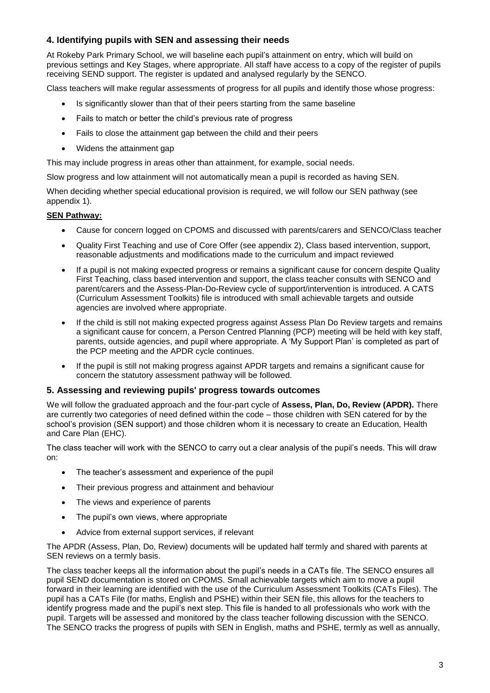# **4. Identifying pupils with SEN and assessing their needs**

At Rokeby Park Primary School, we will baseline each pupil's attainment on entry, which will build on previous settings and Key Stages, where appropriate. All staff have access to a copy of the register of pupils receiving SEND support. The register is updated and analysed regularly by the SENCO.

Class teachers will make regular assessments of progress for all pupils and identify those whose progress:

- Is significantly slower than that of their peers starting from the same baseline
- Fails to match or better the child's previous rate of progress
- Fails to close the attainment gap between the child and their peers
- Widens the attainment gap

This may include progress in areas other than attainment, for example, social needs.

Slow progress and low attainment will not automatically mean a pupil is recorded as having SEN.

When deciding whether special educational provision is required, we will follow our SEN pathway (see appendix 1).

#### **SEN Pathway:**

- Cause for concern logged on CPOMS and discussed with parents/carers and SENCO/Class teacher
- Quality First Teaching and use of Core Offer (see appendix 2), Class based intervention, support, reasonable adjustments and modifications made to the curriculum and impact reviewed
- If a pupil is not making expected progress or remains a significant cause for concern despite Quality First Teaching, class based intervention and support, the class teacher consults with SENCO and parent/carers and the Assess-Plan-Do-Review cycle of support/intervention is introduced. A CATS (Curriculum Assessment Toolkits) file is introduced with small achievable targets and outside agencies are involved where appropriate.
- If the child is still not making expected progress against Assess Plan Do Review targets and remains a significant cause for concern, a Person Centred Planning (PCP) meeting will be held with key staff, parents, outside agencies, and pupil where appropriate. A 'My Support Plan' is completed as part of the PCP meeting and the APDR cycle continues.
- If the pupil is still not making progress against APDR targets and remains a significant cause for concern the statutory assessment pathway will be followed.

#### **5. Assessing and reviewing pupils' progress towards outcomes**

We will follow the graduated approach and the four-part cycle of **Assess, Plan, Do, Review (APDR).** There are currently two categories of need defined within the code – those children with SEN catered for by the school's provision (SEN support) and those children whom it is necessary to create an Education, Health and Care Plan (EHC).

The class teacher will work with the SENCO to carry out a clear analysis of the pupil's needs. This will draw on:

- The teacher's assessment and experience of the pupil
- Their previous progress and attainment and behaviour
- The views and experience of parents
- The pupil's own views, where appropriate
- Advice from external support services, if relevant

The APDR (Assess, Plan, Do, Review) documents will be updated half termly and shared with parents at SEN reviews on a termly basis.

The class teacher keeps all the information about the pupil's needs in a CATs file. The SENCO ensures all pupil SEND documentation is stored on CPOMS. Small achievable targets which aim to move a pupil forward in their learning are identified with the use of the Curriculum Assessment Toolkits (CATs Files). The pupil has a CATs File (for maths, English and PSHE) within their SEN file, this allows for the teachers to identify progress made and the pupil's next step. This file is handed to all professionals who work with the pupil. Targets will be assessed and monitored by the class teacher following discussion with the SENCO. The SENCO tracks the progress of pupils with SEN in English, maths and PSHE, termly as well as annually,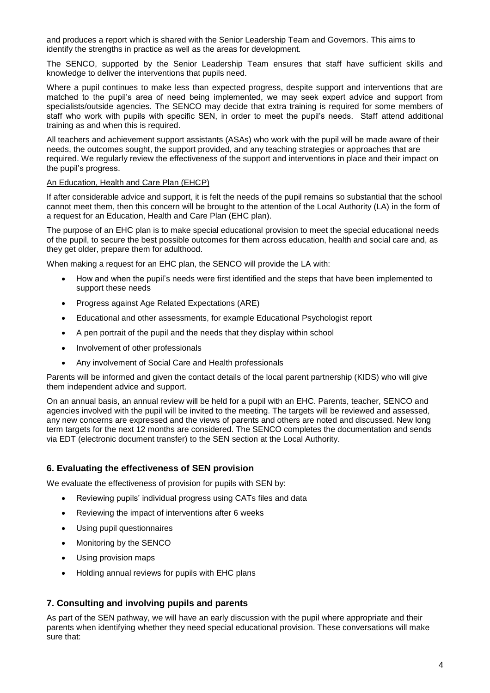and produces a report which is shared with the Senior Leadership Team and Governors. This aims to identify the strengths in practice as well as the areas for development.

The SENCO, supported by the Senior Leadership Team ensures that staff have sufficient skills and knowledge to deliver the interventions that pupils need.

Where a pupil continues to make less than expected progress, despite support and interventions that are matched to the pupil's area of need being implemented, we may seek expert advice and support from specialists/outside agencies. The SENCO may decide that extra training is required for some members of staff who work with pupils with specific SEN, in order to meet the pupil's needs. Staff attend additional training as and when this is required.

All teachers and achievement support assistants (ASAs) who work with the pupil will be made aware of their needs, the outcomes sought, the support provided, and any teaching strategies or approaches that are required. We regularly review the effectiveness of the support and interventions in place and their impact on the pupil's progress.

#### An Education, Health and Care Plan (EHCP)

If after considerable advice and support, it is felt the needs of the pupil remains so substantial that the school cannot meet them, then this concern will be brought to the attention of the Local Authority (LA) in the form of a request for an Education, Health and Care Plan (EHC plan).

The purpose of an EHC plan is to make special educational provision to meet the special educational needs of the pupil, to secure the best possible outcomes for them across education, health and social care and, as they get older, prepare them for adulthood.

When making a request for an EHC plan, the SENCO will provide the LA with:

- How and when the pupil's needs were first identified and the steps that have been implemented to support these needs
- Progress against Age Related Expectations (ARE)
- Educational and other assessments, for example Educational Psychologist report
- A pen portrait of the pupil and the needs that they display within school
- Involvement of other professionals
- Any involvement of Social Care and Health professionals

Parents will be informed and given the contact details of the local parent partnership (KIDS) who will give them independent advice and support.

On an annual basis, an annual review will be held for a pupil with an EHC. Parents, teacher, SENCO and agencies involved with the pupil will be invited to the meeting. The targets will be reviewed and assessed, any new concerns are expressed and the views of parents and others are noted and discussed. New long term targets for the next 12 months are considered. The SENCO completes the documentation and sends via EDT (electronic document transfer) to the SEN section at the Local Authority.

#### **6. Evaluating the effectiveness of SEN provision**

We evaluate the effectiveness of provision for pupils with SEN by:

- Reviewing pupils' individual progress using CATs files and data
- Reviewing the impact of interventions after 6 weeks
- Using pupil questionnaires
- Monitoring by the SENCO
- Using provision maps
- Holding annual reviews for pupils with EHC plans

# **7. Consulting and involving pupils and parents**

As part of the SEN pathway, we will have an early discussion with the pupil where appropriate and their parents when identifying whether they need special educational provision. These conversations will make sure that: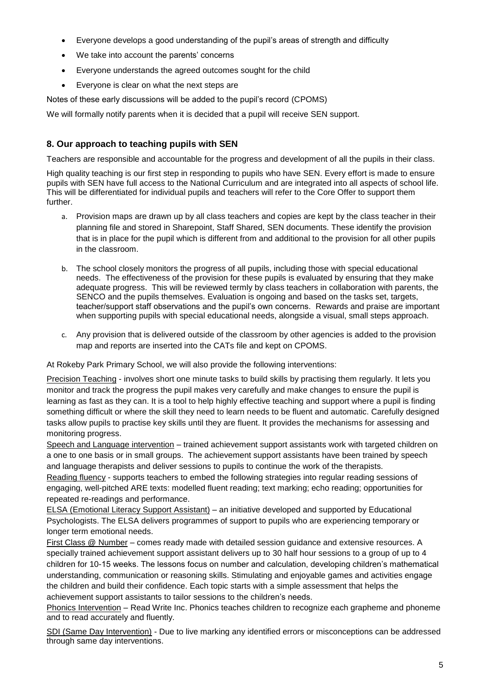- Everyone develops a good understanding of the pupil's areas of strength and difficulty
- We take into account the parents' concerns
- Everyone understands the agreed outcomes sought for the child
- Everyone is clear on what the next steps are

Notes of these early discussions will be added to the pupil's record (CPOMS)

We will formally notify parents when it is decided that a pupil will receive SEN support.

# **8. Our approach to teaching pupils with SEN**

Teachers are responsible and accountable for the progress and development of all the pupils in their class.

High quality teaching is our first step in responding to pupils who have SEN. Every effort is made to ensure pupils with SEN have full access to the National Curriculum and are integrated into all aspects of school life. This will be differentiated for individual pupils and teachers will refer to the Core Offer to support them further.

- a. Provision maps are drawn up by all class teachers and copies are kept by the class teacher in their planning file and stored in Sharepoint, Staff Shared, SEN documents. These identify the provision that is in place for the pupil which is different from and additional to the provision for all other pupils in the classroom.
- b. The school closely monitors the progress of all pupils, including those with special educational needs. The effectiveness of the provision for these pupils is evaluated by ensuring that they make adequate progress. This will be reviewed termly by class teachers in collaboration with parents, the SENCO and the pupils themselves. Evaluation is ongoing and based on the tasks set, targets, teacher/support staff observations and the pupil's own concerns. Rewards and praise are important when supporting pupils with special educational needs, alongside a visual, small steps approach.
- c. Any provision that is delivered outside of the classroom by other agencies is added to the provision map and reports are inserted into the CATs file and kept on CPOMS.

At Rokeby Park Primary School, we will also provide the following interventions:

Precision Teaching - involves short one minute tasks to build skills by practising them regularly. It lets you monitor and track the progress the pupil makes very carefully and make changes to ensure the pupil is learning as fast as they can. It is a tool to help highly effective teaching and support where a pupil is finding something difficult or where the skill they need to learn needs to be fluent and automatic. Carefully designed tasks allow pupils to practise key skills until they are fluent. It provides the mechanisms for assessing and monitoring progress.

Speech and Language intervention – trained achievement support assistants work with targeted children on a one to one basis or in small groups. The achievement support assistants have been trained by speech and language therapists and deliver sessions to pupils to continue the work of the therapists.

Reading fluency - supports teachers to embed the following strategies into regular reading sessions of engaging, well-pitched ARE texts: modelled fluent reading; text marking; echo reading; opportunities for repeated re-readings and performance.

ELSA (Emotional Literacy Support Assistant) – an initiative developed and supported by Educational Psychologists. The ELSA delivers programmes of support to pupils who are experiencing temporary or longer term emotional needs.

First Class @ Number – comes ready made with detailed session guidance and extensive resources. A specially trained achievement support assistant delivers up to 30 half hour sessions to a group of up to 4 children for 10-15 weeks. The lessons focus on number and calculation, developing children's mathematical understanding, communication or reasoning skills. Stimulating and enjoyable games and activities engage the children and build their confidence. Each topic starts with a simple assessment that helps the achievement support assistants to tailor sessions to the children's needs.

Phonics Intervention – Read Write Inc. Phonics teaches children to recognize each grapheme and phoneme and to read accurately and fluently.

SDI (Same Day Intervention) - Due to live marking any identified errors or misconceptions can be addressed through same day interventions.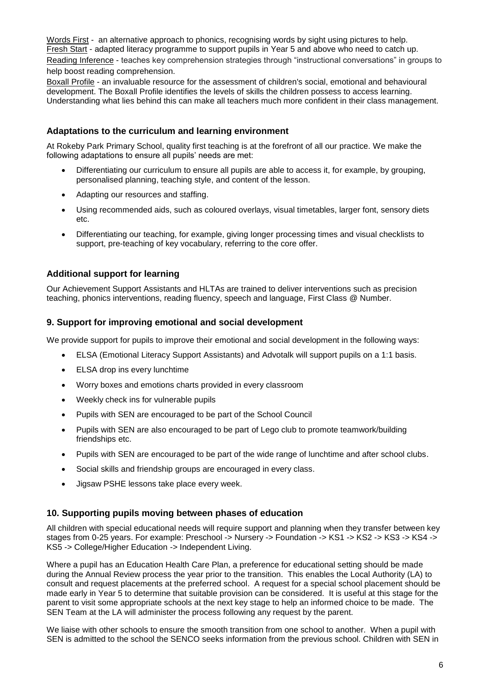Words First - an alternative approach to phonics, recognising words by sight using pictures to help. Fresh Start - adapted literacy programme to support pupils in Year 5 and above who need to catch up. Reading Inference - teaches key comprehension strategies through "instructional conversations" in groups to help boost reading comprehension.

Boxall Profile - an invaluable resource for the assessment of children's social, emotional and behavioural development. The Boxall Profile identifies the levels of skills the children possess to access learning. Understanding what lies behind this can make all teachers much more confident in their class management.

### **Adaptations to the curriculum and learning environment**

At Rokeby Park Primary School, quality first teaching is at the forefront of all our practice. We make the following adaptations to ensure all pupils' needs are met:

- Differentiating our curriculum to ensure all pupils are able to access it, for example, by grouping, personalised planning, teaching style, and content of the lesson.
- Adapting our resources and staffing.
- Using recommended aids, such as coloured overlays, visual timetables, larger font, sensory diets etc.
- Differentiating our teaching, for example, giving longer processing times and visual checklists to support, pre-teaching of key vocabulary, referring to the core offer.

# **Additional support for learning**

Our Achievement Support Assistants and HLTAs are trained to deliver interventions such as precision teaching, phonics interventions, reading fluency, speech and language, First Class @ Number.

## **9. Support for improving emotional and social development**

We provide support for pupils to improve their emotional and social development in the following ways:

- ELSA (Emotional Literacy Support Assistants) and Advotalk will support pupils on a 1:1 basis.
- ELSA drop ins every lunchtime
- Worry boxes and emotions charts provided in every classroom
- Weekly check ins for vulnerable pupils
- Pupils with SEN are encouraged to be part of the School Council
- Pupils with SEN are also encouraged to be part of Lego club to promote teamwork/building friendships etc.
- Pupils with SEN are encouraged to be part of the wide range of lunchtime and after school clubs.
- Social skills and friendship groups are encouraged in every class.
- Jigsaw PSHE lessons take place every week.

#### **10. Supporting pupils moving between phases of education**

All children with special educational needs will require support and planning when they transfer between key stages from 0-25 years. For example: Preschool -> Nursery -> Foundation -> KS1 -> KS2 -> KS3 -> KS4 -> KS5 -> College/Higher Education -> Independent Living.

Where a pupil has an Education Health Care Plan, a preference for educational setting should be made during the Annual Review process the year prior to the transition. This enables the Local Authority (LA) to consult and request placements at the preferred school. A request for a special school placement should be made early in Year 5 to determine that suitable provision can be considered. It is useful at this stage for the parent to visit some appropriate schools at the next key stage to help an informed choice to be made. The SEN Team at the LA will administer the process following any request by the parent.

We liaise with other schools to ensure the smooth transition from one school to another. When a pupil with SEN is admitted to the school the SENCO seeks information from the previous school. Children with SEN in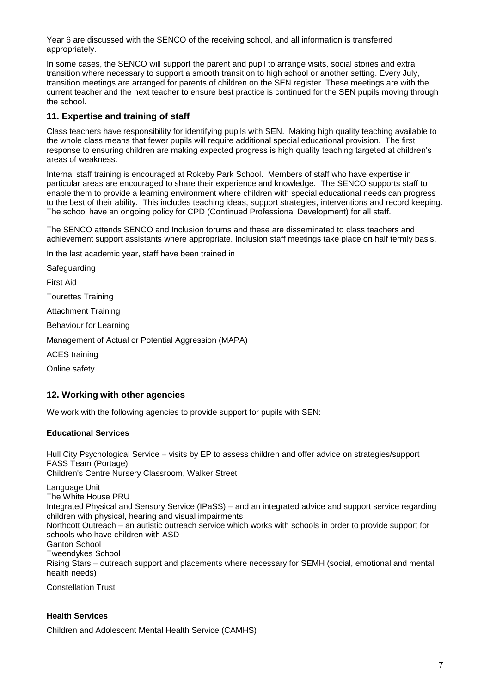Year 6 are discussed with the SENCO of the receiving school, and all information is transferred appropriately.

In some cases, the SENCO will support the parent and pupil to arrange visits, social stories and extra transition where necessary to support a smooth transition to high school or another setting. Every July, transition meetings are arranged for parents of children on the SEN register. These meetings are with the current teacher and the next teacher to ensure best practice is continued for the SEN pupils moving through the school.

# **11. Expertise and training of staff**

Class teachers have responsibility for identifying pupils with SEN. Making high quality teaching available to the whole class means that fewer pupils will require additional special educational provision. The first response to ensuring children are making expected progress is high quality teaching targeted at children's areas of weakness.

Internal staff training is encouraged at Rokeby Park School. Members of staff who have expertise in particular areas are encouraged to share their experience and knowledge. The SENCO supports staff to enable them to provide a learning environment where children with special educational needs can progress to the best of their ability. This includes teaching ideas, support strategies, interventions and record keeping. The school have an ongoing policy for CPD (Continued Professional Development) for all staff.

The SENCO attends SENCO and Inclusion forums and these are disseminated to class teachers and achievement support assistants where appropriate. Inclusion staff meetings take place on half termly basis.

In the last academic year, staff have been trained in

Safeguarding

First Aid

Tourettes Training

Attachment Training

Behaviour for Learning

Management of Actual or Potential Aggression (MAPA)

ACES training

Online safety

#### **12. Working with other agencies**

We work with the following agencies to provide support for pupils with SEN:

#### **Educational Services**

Hull City Psychological Service – visits by EP to assess children and offer advice on strategies/support FASS Team (Portage) Children's Centre Nursery Classroom, Walker Street

Language Unit The White House PRU Integrated Physical and Sensory Service (IPaSS) – and an integrated advice and support service regarding children with physical, hearing and visual impairments Northcott Outreach – an autistic outreach service which works with schools in order to provide support for schools who have children with ASD Ganton School Tweendykes School Rising Stars – outreach support and placements where necessary for SEMH (social, emotional and mental health needs)

Constellation Trust

# **Health Services**

Children and Adolescent Mental Health Service (CAMHS)